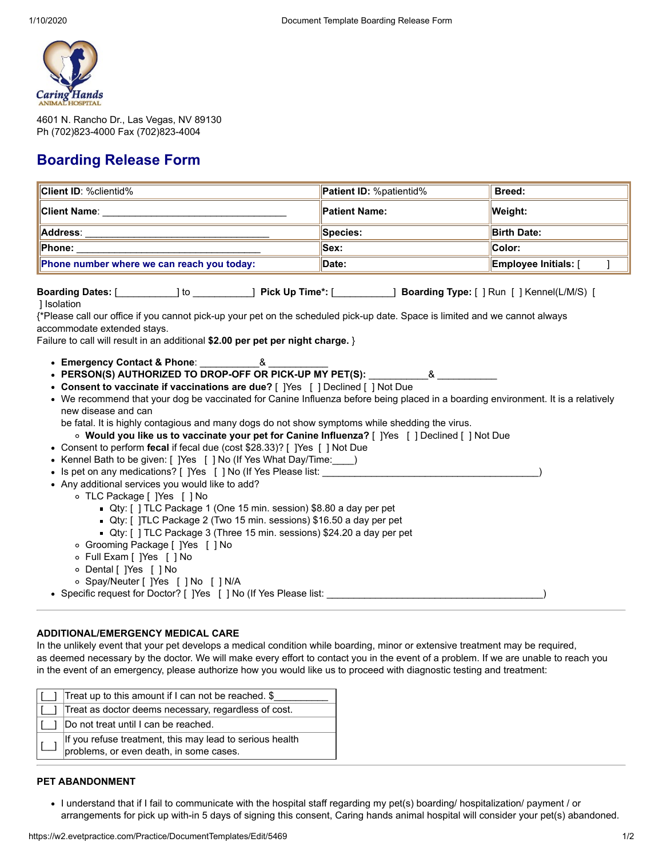

4601 N. Rancho Dr., Las Vegas, NV 89130 Ph (702)823-4000 Fax (702)823-4004

# **Boarding Release Form**

| <b>Client ID: %clientid%</b>                                                                                                                                                                                                                                                                                                                                                                                                                                                                                                                                                                                                                                                                                                                                                                                                                                                                                                                                                                                                                                                                                                                                                                                                                                                                                                                                                                                                                                                                              | Patient ID: %patientid% | Breed:               |
|-----------------------------------------------------------------------------------------------------------------------------------------------------------------------------------------------------------------------------------------------------------------------------------------------------------------------------------------------------------------------------------------------------------------------------------------------------------------------------------------------------------------------------------------------------------------------------------------------------------------------------------------------------------------------------------------------------------------------------------------------------------------------------------------------------------------------------------------------------------------------------------------------------------------------------------------------------------------------------------------------------------------------------------------------------------------------------------------------------------------------------------------------------------------------------------------------------------------------------------------------------------------------------------------------------------------------------------------------------------------------------------------------------------------------------------------------------------------------------------------------------------|-------------------------|----------------------|
|                                                                                                                                                                                                                                                                                                                                                                                                                                                                                                                                                                                                                                                                                                                                                                                                                                                                                                                                                                                                                                                                                                                                                                                                                                                                                                                                                                                                                                                                                                           | <b>Patient Name:</b>    | <b>Weight:</b>       |
|                                                                                                                                                                                                                                                                                                                                                                                                                                                                                                                                                                                                                                                                                                                                                                                                                                                                                                                                                                                                                                                                                                                                                                                                                                                                                                                                                                                                                                                                                                           | Species:                | <b>Birth Date:</b>   |
|                                                                                                                                                                                                                                                                                                                                                                                                                                                                                                                                                                                                                                                                                                                                                                                                                                                                                                                                                                                                                                                                                                                                                                                                                                                                                                                                                                                                                                                                                                           | Sex:                    | Color:               |
| Phone number where we can reach you today:                                                                                                                                                                                                                                                                                                                                                                                                                                                                                                                                                                                                                                                                                                                                                                                                                                                                                                                                                                                                                                                                                                                                                                                                                                                                                                                                                                                                                                                                | Date:                   | Employee Initials: [ |
| Boarding Dates: [ [ [ ] to [ ] to [ ] ] Pick Up Time*: [ [ ] ] Boarding Type: [ ] Run [ ] Kennel(L/M/S) [<br>] Isolation<br>{*Please call our office if you cannot pick-up your pet on the scheduled pick-up date. Space is limited and we cannot always<br>accommodate extended stays.<br>Failure to call will result in an additional \$2.00 per pet per night charge. }<br>• Emergency Contact & Phone: _____________& _<br>• Consent to vaccinate if vaccinations are due? [ ]Yes [ ] Declined [ ] Not Due<br>• We recommend that your dog be vaccinated for Canine Influenza before being placed in a boarding environment. It is a relatively<br>new disease and can<br>be fatal. It is highly contagious and many dogs do not show symptoms while shedding the virus.<br>o Would you like us to vaccinate your pet for Canine Influenza? [ ] Yes [ ] Declined [ ] Not Due<br>• Consent to perform fecal if fecal due (cost \$28.33)? [ ] Yes [ ] Not Due<br>• Kennel Bath to be given: [ ] Yes [ ] No (If Yes What Day/Time: )<br>• Is pet on any medications? [ ]Yes [ ] No (If Yes Please list:<br>• Any additional services you would like to add?<br>○ TLC Package [ ]Yes [ ] No<br>Qty: [] TLC Package 1 (One 15 min. session) \$8.80 a day per pet<br>Qty: []TLC Package 2 (Two 15 min. sessions) \$16.50 a day per pet<br>■ Qty: [] TLC Package 3 (Three 15 min. sessions) \$24.20 a day per pet<br>o Grooming Package [ ]Yes [ ] No<br>o Full Exam [ ]Yes [ ] No<br>o Dental [ ]Yes [ ] No |                         |                      |
| o Spay/Neuter [ ]Yes [ ] No [ ] N/A<br>• Specific request for Doctor? [ ]Yes [ ] No (If Yes Please list:                                                                                                                                                                                                                                                                                                                                                                                                                                                                                                                                                                                                                                                                                                                                                                                                                                                                                                                                                                                                                                                                                                                                                                                                                                                                                                                                                                                                  |                         |                      |
|                                                                                                                                                                                                                                                                                                                                                                                                                                                                                                                                                                                                                                                                                                                                                                                                                                                                                                                                                                                                                                                                                                                                                                                                                                                                                                                                                                                                                                                                                                           |                         |                      |

## **ADDITIONAL/EMERGENCY MEDICAL CARE**

In the unlikely event that your pet develops a medical condition while boarding, minor or extensive treatment may be required, as deemed necessary by the doctor. We will make every effort to contact you in the event of a problem. If we are unable to reach you in the event of an emergency, please authorize how you would like us to proceed with diagnostic testing and treatment:

| Treat up to this amount if I can not be reached. \$                                                 |
|-----------------------------------------------------------------------------------------------------|
| Treat as doctor deems necessary, regardless of cost.                                                |
| Do not treat until I can be reached.                                                                |
| If you refuse treatment, this may lead to serious health<br>problems, or even death, in some cases. |

## **PET ABANDONMENT**

I understand that if I fail to communicate with the hospital staff regarding my pet(s) boarding/ hospitalization/ payment / or arrangements for pick up with-in 5 days of signing this consent, Caring hands animal hospital will consider your pet(s) abandoned.